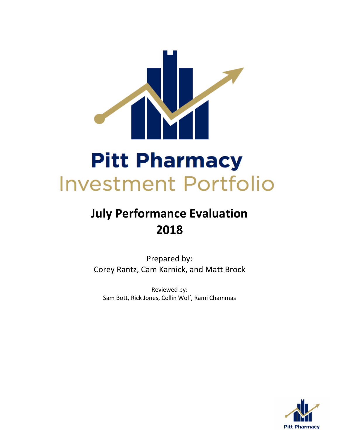

# **July Performance Evaluation 2018**

Prepared by: Corey Rantz, Cam Karnick, and Matt Brock

Reviewed by: Sam Bott, Rick Jones, Collin Wolf, Rami Chammas

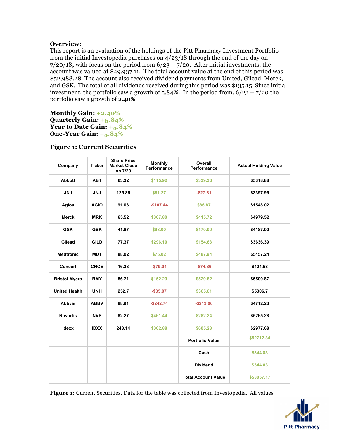# **Overview:**

This report is an evaluation of the holdings of the Pitt Pharmacy Investment Portfolio from the initial Investopedia purchases on 4/23/18 through the end of the day on 7/20/18**,** with focus on the period from 6/23 – 7/20. After initial investments, the account was valued at \$49,937.11. The total account value at the end of this period was \$52,988.28. The account also received dividend payments from United, Gilead, Merck, and GSK. The total of all dividends received during this period was \$135.15 Since initial investment, the portfolio saw a growth of  $5.84\%$ . In the period from,  $6/23 - 7/20$  the portfolio saw a growth of 2.40%

**Monthly Gain: +2.40% Quarterly Gain: +5.84% Year to Date Gain: +5.84% One-Year Gain: +5.84%**

| Company              | <b>Ticker</b> | <b>Share Price</b><br><b>Market Close</b><br>on 7/20 | <b>Monthly</b><br><b>Performance</b> | Overall<br>Performance     | <b>Actual Holding Value</b> |
|----------------------|---------------|------------------------------------------------------|--------------------------------------|----------------------------|-----------------------------|
| <b>Abbott</b>        | <b>ABT</b>    | 63.32                                                | \$115.92                             | \$339.36                   | \$5318.88                   |
| <b>JNJ</b>           | <b>JNJ</b>    | 125.85                                               | \$81.27                              | $-$27.81$                  | \$3397.95                   |
| <b>Agios</b>         | <b>AGIO</b>   | 91.06                                                | $-$107.44$                           | \$86.87                    | \$1548.02                   |
| <b>Merck</b>         | <b>MRK</b>    | 65.52                                                | \$307.80                             | \$415.72                   | \$4979.52                   |
| <b>GSK</b>           | <b>GSK</b>    | 41.87                                                | \$98.00                              | \$170.00                   | \$4187.00                   |
| Gilead               | <b>GILD</b>   | 77.37                                                | \$296.10                             | \$154.63                   | \$3636.39                   |
| <b>Medtronic</b>     | <b>MDT</b>    | 88.02                                                | \$75.02                              | \$487.94                   | \$5457.24                   |
| <b>Concert</b>       | <b>CNCE</b>   | 16.33                                                | $-$79.04$                            | $-$74.36$                  | \$424.58                    |
| <b>Bristol Myers</b> | <b>BMY</b>    | 56.71                                                | \$152.29                             | \$529.62                   | \$5500.87                   |
| <b>United Health</b> | <b>UNH</b>    | 252.7                                                | $-$35.07$                            | \$365.61                   | \$5306.7                    |
| Abbvie               | <b>ABBV</b>   | 88.91                                                | $-$242.74$                           | $-$ \$213.06               | \$4712.23                   |
| <b>Novartis</b>      | <b>NVS</b>    | 82.27                                                | \$461.44                             | \$282.24                   | \$5265.28                   |
| <b>Idexx</b>         | <b>IDXX</b>   | 248.14                                               | \$302.88                             | \$605.28                   | \$2977.68                   |
|                      |               |                                                      |                                      | <b>Portfolio Value</b>     | \$52712.34                  |
|                      |               |                                                      |                                      | Cash                       | \$344.83                    |
|                      |               |                                                      |                                      | <b>Dividend</b>            | \$344.83                    |
|                      |               |                                                      |                                      | <b>Total Account Value</b> | \$53057.17                  |

# **Figure 1: Current Securities**

**Figure 1:** Current Securities. Data for the table was collected from Investopedia. All values

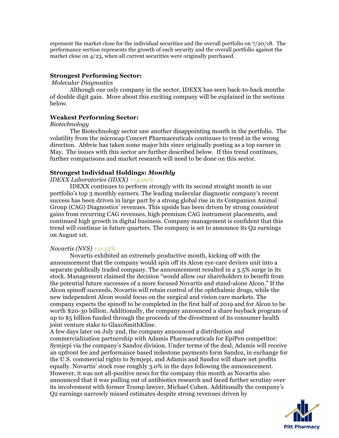represent the market close for the individual securities and the overall portfolio on 7/20/18. The performance section represents the growth of each security and the overall portfolio against the market close on  $4/23$ , when all current securities were originally purchased.

# **Strongest Performing Sector:**

## *Molecular Diagnostics*

Although our only company in the sector, IDEXX has seen back-to-back months of double digit gain. More about this exciting company will be explained in the sections below.

# **Weakest Performing Sector:**

# *Biotechnology*

The Biotechnology sector saw another disappointing month in the portfolio. The volatility from the microcap Concert Pharmaceuticals continues to trend in the wrong direction. Abbvie has taken some major hits since originally posting as a top earner in May. The issues with this sector are further described below. If this trend continues, further comparisons and market research will need to be done on this sector.

# **Strongest Individual Holdings:** *Monthly*

*IDEXX Laboratories (IDXX) +14.09%* 

IDEXX continues to perform strongly with its second straight month in our portfolio's top 3 monthly earners. The leading molecular diagnostic company's recent success has been driven in large part by a strong global rise in its Companion Animal Group (CAG) Diagnostics' revenues. This upside has been driven by strong consistent gains from recurring CAG revenues, high premium CAG instrument placements, and continued high growth in digital business. Company management is confident that this trend will continue in future quarters. The company is set to announce its Q2 earnings on August 1st.

# *Novartis (NVS) +11.13%*

Novartis exhibited an extremely productive month, kicking off with the announcement that the company would spin off its Alcon eye-care devices unit into a separate publically traded company. The announcement resulted in a 3.5% surge in its stock. Management claimed the decision "would allow our shareholders to benefit from the potential future successes of a more focused Novartis and stand-alone Alcon." If the Alcon spinoff succeeds, Novartis will retain control of the ophthalmic drugs, while the new independent Alcon would focus on the surgical and vision care markets. The company expects the spinoff to be completed in the first half of 2019 and for Alcon to be worth \$20-30 billion. Additionally, the company announced a share buyback program of up to \$5 billion funded through the proceeds of the divestment of its consumer health joint venture stake to GlaxoSmithKline.

A few days later on July 2nd, the company announced a distribution and commercialization partnership with Adamis Pharmaceuticals for EpiPen competitor: Symjepi via the company's Sandoz division. Under terms of the deal, Adamis will receive an upfront fee and performance based milestone payments form Sandoz, in exchange for the U.S. commercial rights to Symjepi, and Adamis and Sandoz will share net profits equally. Novartis' stock rose roughly 3.0% in the days following the announcement. However, it was not all-positive news for the company this month as Novartis also announced that it was pulling out of antibiotics research and faced further scrutiny over its involvement with former Trump lawyer, Michael Cohen. Additionally the company's Q2 earnings narrowly missed estimates despite strong revenues driven by

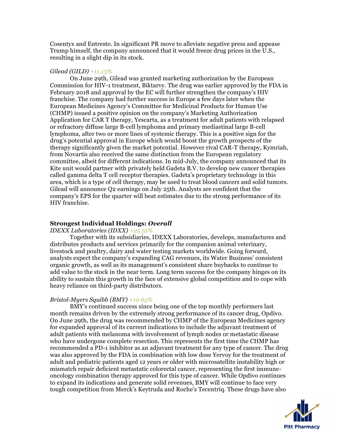Cosentyx and Entresto. In significant PR move to alleviate negative press and appease Trump himself, the company announced that it would freeze drug prices in the U.S., resulting in a slight dip in its stock.

#### *Gilead (GILD) +11.13%*

On June 29th, Gilead was granted marketing authorization by the European Commission for HIV-1 treatment, Biktarvy. The drug was earlier approved by the FDA in February 2018 and approval by the EC will further strengthen the company's HIV franchise. The company had further success in Europe a few days later when the European Medicines Agency's Committee for Medicinal Products for Human Use (CHMP) issued a positive opinion on the company's Marketing Authorization Application for CAR T therapy, Yescarta, as a treatment for adult patients with relapsed or refractory diffuse large B-cell lymphoma and primary mediastinal large B-cell lymphoma, after two or more lines of systemic therapy. This is a positive sign for the drug's potential approval in Europe which would boost the growth prospects of the therapy significantly given the market potential. However rival CAR-T therapy, Kymriah, from Novartis also received the same distinction from the European regulatory committee, albeit for different indications. In mid-July, the company announced that its Kite unit would partner with privately held Gadeta B.V. to develop new cancer therapies called gamma delta T cell receptor therapies. Gadeta's proprietary technology in this area, which is a type of cell therapy, may be used to treat blood cancers and solid tumors. Gilead will announce Q2 earnings on July 25th. Analysts are confident that the company's EPS for the quarter will beat estimates due to the strong performance of its HIV franchise.

## **Strongest Individual Holdings:** *Overall*

#### *IDEXX Laboratories (IDXX) +25.51%*

Together with its subsidiaries, IDEXX Laboratories, develops, manufactures and distributes products and services primarily for the companion animal veterinary, livestock and poultry, dairy and water testing markets worldwide. Going forward, analysts expect the company's expanding CAG revenues, its Water Business' consistent organic growth, as well as its management's consistent share buybacks to continue to add value to the stock in the near term. Long term success for the company hinges on its ability to sustain this growth in the face of extensive global competition and to cope with heavy reliance on third-party distributors.

#### *Bristol-Myers Squibb (BMY) +10.65%*

BMY's continued success since being one of the top monthly performers last month remains driven by the extremely strong performance of its cancer drug, Opdivo. On June 29th, the drug was recommended by CHMP of the European Medicines agency for expanded approval of its current indications to include the adjuvant treatment of adult patients with melanoma with involvement of lymph nodes or metastatic disease who have undergone complete resection. This represents the first time the CHMP has recommended a PD-1 inhibitor as an adjuvant treatment for any type of cancer. The drug was also approved by the FDA in combination with low dose Yervoy for the treatment of adult and pediatric patients aged 12 years or older with microsatellite instability high or mismatch repair deficient metastatic colorectal cancer, representing the first immuneoncology combination therapy approved for this type of cancer. While Opdivo continues to expand its indications and generate solid revenues, BMY will continue to face very tough competition from Merck's Keytruda and Roche's Tecentriq. These drugs have also

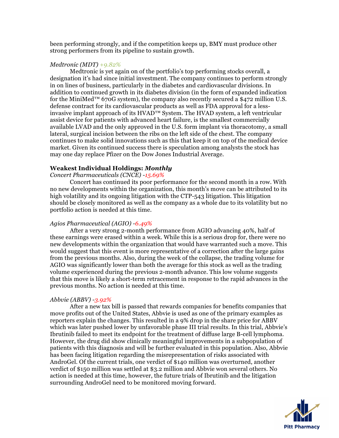been performing strongly, and if the competition keeps up, BMY must produce other strong performers from its pipeline to sustain growth.

#### *Medtronic (MDT) +9.82%*

Medtronic is yet again on of the portfolio's top performing stocks overall, a designation it's had since initial investment. The company continues to perform strongly in on lines of business, particularly in the diabetes and cardiovascular divisions. In addition to continued growth in its diabetes division (in the form of expanded indication for the MiniMed<sup>™</sup> 670G system), the company also recently secured a \$472 million U.S. defense contract for its cardiovascular products as well as FDA approval for a lessinvasive implant approach of its HVAD™ System. The HVAD system, a left ventricular assist device for patients with advanced heart failure, is the smallest commercially available LVAD and the only approved in the U.S. form implant via thoracotomy, a small lateral, surgical incision between the ribs on the left side of the chest. The company continues to make solid innovations such as this that keep it on top of the medical device market. Given its continued success there is speculation among analysts the stock has may one day replace Pfizer on the Dow Jones Industrial Average.

## **Weakest Individual Holdings:** *Monthly*

### *Concert Pharmaceuticals (CNCE) -15.69%*

Concert has continued its poor performance for the second month in a row. With no new developments within the organization, this month's move can be attributed to its high volatility and its ongoing litigation with the CTP-543 litigation. This litigation should be closely monitored as well as the company as a whole due to its volatility but no portfolio action is needed at this time.

#### *Agios Pharmaceutical (AGIO) -6.49%*

After a very strong 2-month performance from AGIO advancing 40%, half of these earnings were erased within a week. While this is a serious drop for, there were no new developments within the organization that would have warranted such a move. This would suggest that this event is more representative of a correction after the large gains from the previous months. Also, during the week of the collapse, the trading volume for AGIO was significantly lower than both the average for this stock as well as the trading volume experienced during the previous 2-month advance. This low volume suggests that this move is likely a short-term retracement in response to the rapid advances in the previous months. No action is needed at this time.

#### *Abbvie (ABBV) -3.92%*

After a new tax bill is passed that rewards companies for benefits companies that move profits out of the United States, Abbvie is used as one of the primary examples as reporters explain the changes. This resulted in a 9% drop in the share price for ABBV which was later pushed lower by unfavorable phase III trial results. In this trial, Abbvie's Ibrutinib failed to meet its endpoint for the treatment of diffuse large B-cell lymphoma. However, the drug did show clinically meaningful improvements in a subpopulation of patients with this diagnosis and will be further evaluated in this population. Also, Abbvie has been facing litigation regarding the misrepresentation of risks associated with AndroGel. Of the current trials, one verdict of \$140 million was overturned, another verdict of \$150 million was settled at \$3.2 million and Abbvie won several others. No action is needed at this time, however, the future trials of Ibrutinib and the litigation surrounding AndroGel need to be monitored moving forward.

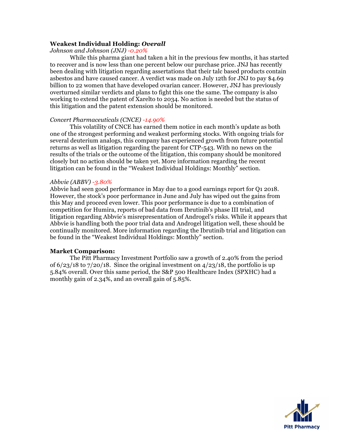# **Weakest Individual Holding:** *Overall*

*Johnson and Johnson (JNJ) -0.20%*

While this pharma giant had taken a hit in the previous few months, it has started to recover and is now less than one percent below our purchase price. JNJ has recently been dealing with litigation regarding assertations that their talc based products contain asbestos and have caused cancer. A verdict was made on July 12th for JNJ to pay \$4.69 billion to 22 women that have developed ovarian cancer. However, JNJ has previously overturned similar verdicts and plans to fight this one the same. The company is also working to extend the patent of Xarelto to 2034. No action is needed but the status of this litigation and the patent extension should be monitored.

## *Concert Pharmaceuticals (CNCE) -14.90%*

This volatility of CNCE has earned them notice in each month's update as both one of the strongest performing and weakest performing stocks. With ongoing trials for several deuterium analogs, this company has experienced growth from future potential returns as well as litigation regarding the parent for CTP-543. With no news on the results of the trials or the outcome of the litigation, this company should be monitored closely but no action should be taken yet. More information regarding the recent litigation can be found in the "Weakest Individual Holdings: Monthly" section.

## *Abbvie (ABBV) -3.80%*

Abbvie had seen good performance in May due to a good earnings report for Q1 2018. However, the stock's poor performance in June and July has wiped out the gains from this May and proceed even lower. This poor performance is due to a combination of competition for Humira, reports of bad data from Ibrutinib's phase III trial, and litigation regarding Abbvie's misrepresentation of Androgel's risks. While it appears that Abbvie is handling both the poor trial data and Androgel litigation well, these should be continually monitored. More information regarding the Ibrutinib trial and litigation can be found in the "Weakest Individual Holdings: Monthly" section.

# **Market Comparison:**

The Pitt Pharmacy Investment Portfolio saw a growth of 2.40% from the period of  $6/23/18$  to  $7/20/18$ . Since the original investment on  $4/23/18$ , the portfolio is up 5.84% overall. Over this same period, the S&P 500 Healthcare Index (SPXHC) had a monthly gain of 2.34%, and an overall gain of 5.85%.

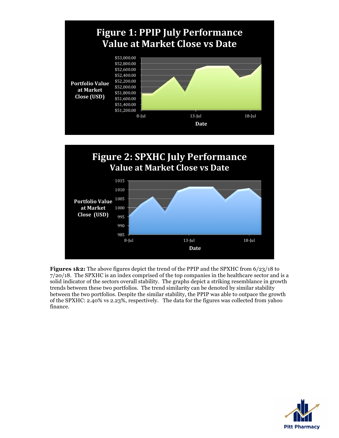

**Figures 1&2:** The above figures depict the trend of the PPIP and the SPXHC from 6/23/18 to 7/20/18. The SPXHC is an index comprised of the top companies in the healthcare sector and is a solid indicator of the sectors overall stability. The graphs depict a striking resemblance in growth trends between these two portfolios. The trend similarity can be denoted by similar stability between the two portfolios. Despite the similar stability, the PPIP was able to outpace the growth of the SPXHC: 2.40% vs 2.23%, respectively. The data for the figures was collected from yahoo finance.